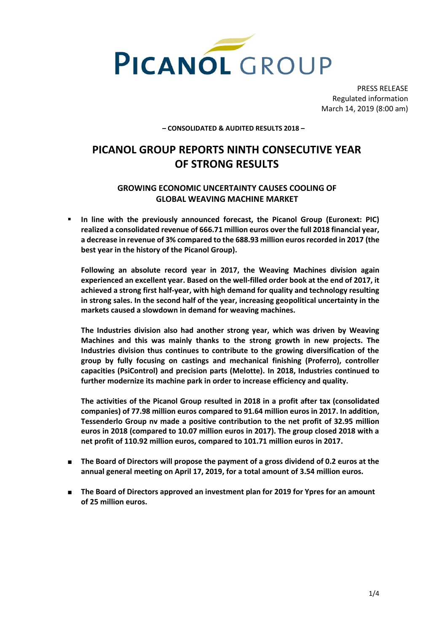

PRESS RELEASE Regulated information March 14, 2019 (8:00 am)

**– CONSOLIDATED & AUDITED RESULTS 2018 –**

# **PICANOL GROUP REPORTS NINTH CONSECUTIVE YEAR OF STRONG RESULTS**

# **GROWING ECONOMIC UNCERTAINTY CAUSES COOLING OF GLOBAL WEAVING MACHINE MARKET**

 **In line with the previously announced forecast, the Picanol Group (Euronext: PIC) realized a consolidated revenue of 666.71 million euros over the full 2018 financial year, a decrease in revenue of 3% compared to the 688.93 million euros recorded in 2017 (the best year in the history of the Picanol Group).**

**Following an absolute record year in 2017, the Weaving Machines division again experienced an excellent year. Based on the well-filled order book at the end of 2017, it achieved a strong first half-year, with high demand for quality and technology resulting in strong sales. In the second half of the year, increasing geopolitical uncertainty in the markets caused a slowdown in demand for weaving machines.**

**The Industries division also had another strong year, which was driven by Weaving Machines and this was mainly thanks to the strong growth in new projects. The Industries division thus continues to contribute to the growing diversification of the group by fully focusing on castings and mechanical finishing (Proferro), controller capacities (PsiControl) and precision parts (Melotte). In 2018, Industries continued to further modernize its machine park in order to increase efficiency and quality.**

**The activities of the Picanol Group resulted in 2018 in a profit after tax (consolidated companies) of 77.98 million euros compared to 91.64 million euros in 2017. In addition, Tessenderlo Group nv made a positive contribution to the net profit of 32.95 million euros in 2018 (compared to 10.07 million euros in 2017). The group closed 2018 with a net profit of 110.92 million euros, compared to 101.71 million euros in 2017.**

- The Board of Directors will propose the payment of a gross dividend of 0.2 euros at the **annual general meeting on April 17, 2019, for a total amount of 3.54 million euros.**
- **The Board of Directors approved an investment plan for 2019 for Ypres for an amount of 25 million euros.**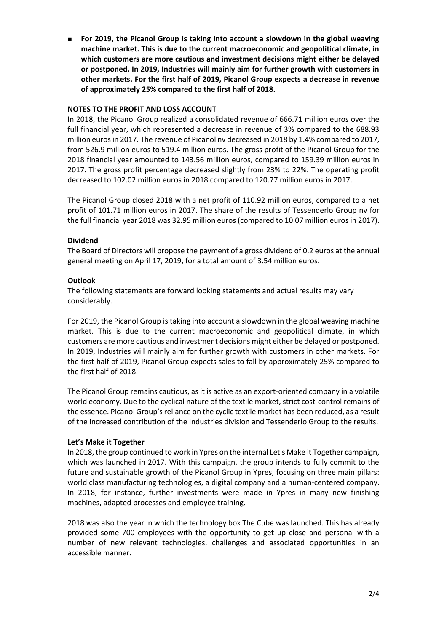For 2019, the Picanol Group is taking into account a slowdown in the global weaving **machine market. This is due to the current macroeconomic and geopolitical climate, in which customers are more cautious and investment decisions might either be delayed or postponed. In 2019, Industries will mainly aim for further growth with customers in other markets. For the first half of 2019, Picanol Group expects a decrease in revenue of approximately 25% compared to the first half of 2018.**

# **NOTES TO THE PROFIT AND LOSS ACCOUNT**

In 2018, the Picanol Group realized a consolidated revenue of 666.71 million euros over the full financial year, which represented a decrease in revenue of 3% compared to the 688.93 million euros in 2017. The revenue of Picanol nv decreased in 2018 by 1.4% compared to 2017, from 526.9 million euros to 519.4 million euros. The gross profit of the Picanol Group for the 2018 financial year amounted to 143.56 million euros, compared to 159.39 million euros in 2017. The gross profit percentage decreased slightly from 23% to 22%. The operating profit decreased to 102.02 million euros in 2018 compared to 120.77 million euros in 2017.

The Picanol Group closed 2018 with a net profit of 110.92 million euros, compared to a net profit of 101.71 million euros in 2017. The share of the results of Tessenderlo Group nv for the full financial year 2018 was 32.95 million euros (compared to 10.07 million euros in 2017).

# **Dividend**

The Board of Directors will propose the payment of a gross dividend of 0.2 euros at the annual general meeting on April 17, 2019, for a total amount of 3.54 million euros.

# **Outlook**

The following statements are forward looking statements and actual results may vary considerably.

For 2019, the Picanol Group is taking into account a slowdown in the global weaving machine market. This is due to the current macroeconomic and geopolitical climate, in which customers are more cautious and investment decisions might either be delayed or postponed. In 2019, Industries will mainly aim for further growth with customers in other markets. For the first half of 2019, Picanol Group expects sales to fall by approximately 25% compared to the first half of 2018.

The Picanol Group remains cautious, as it is active as an export-oriented company in a volatile world economy. Due to the cyclical nature of the textile market, strict cost-control remains of the essence. Picanol Group's reliance on the cyclic textile market has been reduced, as a result of the increased contribution of the Industries division and Tessenderlo Group to the results.

## **Let's Make it Together**

In 2018, the group continued to work in Ypres on the internal Let's Make it Together campaign, which was launched in 2017. With this campaign, the group intends to fully commit to the future and sustainable growth of the Picanol Group in Ypres, focusing on three main pillars: world class manufacturing technologies, a digital company and a human-centered company. In 2018, for instance, further investments were made in Ypres in many new finishing machines, adapted processes and employee training.

2018 was also the year in which the technology box The Cube was launched. This has already provided some 700 employees with the opportunity to get up close and personal with a number of new relevant technologies, challenges and associated opportunities in an accessible manner.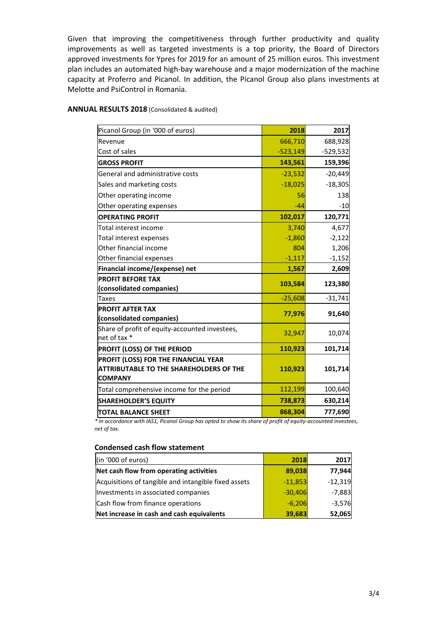Given that improving the competitiveness through further productivity and quality improvements as well as targeted investments is a top priority, the Board of Directors approved investments for Ypres for 2019 for an amount of 25 million euros. This investment plan includes an automated high-bay warehouse and a major modernization of the machine capacity at Proferro and Picanol. In addition, the Picanol Group also plans investments at Melotte and PsiControl in Romania.

| Picanol Group (in '000 of euros)               | 2018       | 2017       |
|------------------------------------------------|------------|------------|
| Revenue                                        | 666,710    | 688,928    |
| Cost of sales                                  | $-523,149$ | $-529,532$ |
| <b>GROSS PROFIT</b>                            | 143,561    | 159,396    |
| General and administrative costs               | $-23,532$  | $-20,449$  |
| Sales and marketing costs                      | $-18,025$  | $-18,305$  |
| Other operating income                         | 56         | 138        |
| Other operating expenses                       | $-44$      | $-10$      |
| <b>OPERATING PROFIT</b>                        | 102,017    | 120,771    |
| Total interest income                          | 3,740      | 4,677      |
| Total interest expenses                        | $-1,860$   | $-2,122$   |
| Other financial income                         | 804        | 1,206      |
| Other financial expenses                       | $-1,117$   | $-1,152$   |
| Financial income/(expense) net                 | 1,567      | 2,609      |
| <b>PROFIT BEFORE TAX</b>                       |            | 123,380    |
| (consolidated companies)                       | 103,584    |            |
| <b>Taxes</b>                                   | $-25,608$  | $-31,741$  |
| <b>PROFIT AFTER TAX</b>                        | 77,976     | 91,640     |
| (consolidated companies)                       |            |            |
| Share of profit of equity-accounted investees, | 32,947     | 10,074     |
| net of tax *                                   |            |            |
| PROFIT (LOSS) OF THE PERIOD                    | 110,923    | 101,714    |
| PROFIT (LOSS) FOR THE FINANCIAL YEAR           |            |            |
| <b>ATTRIBUTABLE TO THE SHAREHOLDERS OF THE</b> | 110,923    | 101,714    |
| <b>COMPANY</b>                                 |            |            |
| Total comprehensive income for the period      | 112,199    | 100,640    |
| <b>SHAREHOLDER'S EQUITY</b>                    | 738,873    | 630,214    |
| TOTAL BALANCE SHEET                            | 868,304    | 777,690    |

#### **ANNUAL RESULTS 2018** (Consolidated & audited)

*\* In accordance with IAS1, Picanol Group has opted to show its share of profit of equity-accounted investees, net of tax.*

### **Condensed cash flow statement**

| (in '000 of euros)                                   | 2018      | 2017      |
|------------------------------------------------------|-----------|-----------|
| Net cash flow from operating activities              | 89,038    | 77,944    |
| Acquisitions of tangible and intangible fixed assets | $-11,853$ | $-12,319$ |
| Investments in associated companies                  | $-30,406$ | $-7,883$  |
| Cash flow from finance operations                    | $-6,206$  | $-3,576$  |
| Net increase in cash and cash equivalents            | 39,683    | 52,065    |